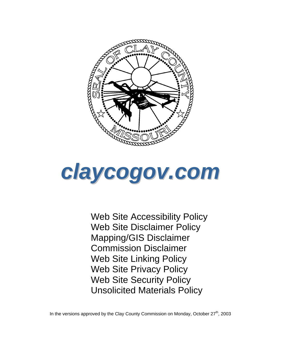



Web Site Accessibility Policy Web Site Disclaimer Policy Mapping/GIS Disclaimer Commission Disclaimer Web Site Linking Policy Web Site Privacy Policy Web Site Security Policy Unsolicited Materials Policy

In the versions approved by the Clay County Commission on Monday, October  $27<sup>th</sup>$ , 2003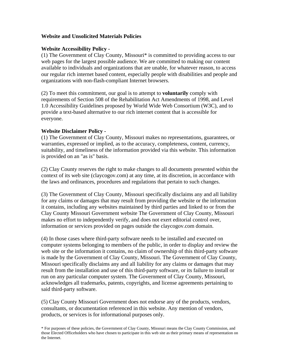### **Website and Unsolicited Materials Policies**

### **Website Accessibility Policy -**

(1) The Government of Clay County, Missouri\* is committed to providing access to our web pages for the largest possible audience. We are committed to making our content available to individuals and organizations that are unable, for whatever reason, to access our regular rich internet based content, especially people with disabilities and people and organizations with non-flash-compliant Internet browsers.

(2) To meet this commitment, our goal is to attempt to **voluntarily** comply with requirements of Section 508 of the Rehabilitation Act Amendments of 1998, and Level 1.0 Accessibility Guidelines proposed by World Wide Web Consortium (W3C), and to provide a text-based alternative to our rich internet content that is accessible for everyone.

### **Website Disclaimer Policy -**

(1) The Government of Clay County, Missouri makes no representations, guarantees, or warranties, expressed or implied, as to the accuracy, completeness, content, currency, suitability, and timeliness of the information provided via this website. This information is provided on an "as is" basis.

(2) Clay County reserves the right to make changes to all documents presented within the context of its web site (claycogov.com) at any time, at its discretion, in accordance with the laws and ordinances, procedures and regulations that pertain to such changes.

(3) The Government of Clay County, Missouri specifically disclaims any and all liability for any claims or damages that may result from providing the website or the information it contains, including any websites maintained by third parties and linked to or from the Clay County Missouri Government website The Government of Clay County, Missouri makes no effort to independently verify, and does not exert editorial control over, information or services provided on pages outside the claycogov.com domain.

(4) In those cases where third-party software needs to be installed and executed on computer systems belonging to members of the public, in order to display and review the web site or the information it contains, no claim of ownership of this third-party software is made by the Government of Clay County, Missouri. The Government of Clay County, Missouri specifically disclaims any and all liability for any claims or damages that may result from the installation and use of this third-party software, or its failure to install or run on any particular computer system. The Government of Clay County, Missouri, acknowledges all trademarks, patents, copyrights, and license agreements pertaining to said third-party software.

(5) Clay County Missouri Government does not endorse any of the products, vendors, consultants, or documentation referenced in this website. Any mention of vendors, products, or services is for informational purposes only.

\* For purposes of these policies, the Government of Clay County, Missouri means the Clay County Commission, and those Elected Officeholders who have chosen to participate in this web site as their primary means of representation on the Internet.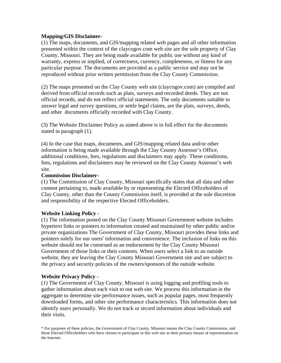### **Mapping/GIS Disclaimer-**

(1) The maps, documents, and GIS/mapping related web pages and all other information presented within the context of the claycogov.com web site are the sole property of Clay County, Missouri. They are being made available for public use without any kind of warranty, express or implied, of correctness, currency, completeness, or fitness for any particular purpose. The documents are provided as a public service and may not be reproduced without prior written permission from the Clay County Commission.

(2) The maps presented on the Clay County web site (claycogov.com) are compiled and derived from official records such as plats, surveys and recorded deeds. They are not official records, and do not reflect official statements. The only documents suitable to answer legal and survey questions, or settle legal claims, are the plats, surveys, deeds, and other documents officially recorded with Clay County.

(3) The Website Disclaimer Policy as stated above is in full effect for the documents stated in paragraph (1).

(4) In the case that maps, documents, and GIS/mapping related data and/or other information is being made available through the Clay County Assessor's Office, additional conditions, fees, regulations and disclaimers may apply. These conditions, fees, regulations and disclaimers may be reviewed on the Clay County Assessor's web site.

#### **Commission Disclaimer-**

(1) The Commission of Clay County, Missouri specifically states that all data and other content pertaining to, made available by or representing the Elected Officeholders of Clay County, other than the County Commission itself, is provided at the sole discretion and responsibility of the respective Elected Officeholders.

# **Website Linking Policy -**

(1) The information posted on the Clay County Missouri Government website includes hypertext links or pointers to information created and maintained by other public and/or private organizations The Government of Clay County, Missouri provides these links and pointers solely for our users' information and convenience. The inclusion of links on this website should not be construed as an endorsement by the Clay County Missouri Government of those links or their contents. When users select a link to an outside website, they are leaving the Clay County Missouri Government site and are subject to the privacy and security policies of the owners/sponsors of the outside website.

#### **Website Privacy Policy -**

(1) The Government of Clay County, Missouri is using logging and profiling tools to gather information about each visit to out web site. We process this information in the aggregate to determine site performance issues, such as popular pages, most frequently downloaded forms, and other site performance characteristics. This information does not identify users personally. We do not track or record information about individuals and their visits.

\* For purposes of these policies, the Government of Clay County, Missouri means the Clay County Commission, and those Elected Officeholders who have chosen to participate in this web site as their primary means of representation on the Internet.